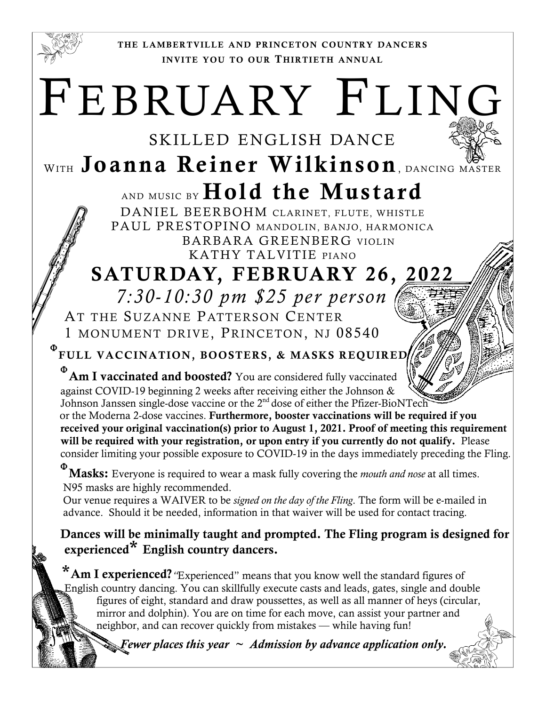

THE LAMBERTVILLE AND PRINCETON COUNTRY DANCERS INVITE YOU TO OUR THIRTIETH ANNUAL

## FEBRUARY FLING

## SKILLED ENGLISH DANCE WITH Joanna Reiner Wilkinson, DANCING MASTER AND MUSIC BY Hold the Mustard

DANIEL BEERBOHM CLARINET, FLUTE, WHISTLE PAUL PRESTOPINO MANDOLIN, BANJO, HARMONICA BARBARA GREENBERG VIOLIN KATHY TALVITIE PIANO

## SATURDAY, FEBRUARY 26, 2022  *7:30-10:30 pm \$25 per person*

AT THE SUZANNE PATTERSON CENTER 1 MONUMENT DRIVE, PRINCETON, NJ 08540

**P** FULL VACCINATION, BOOSTERS, & MASKS REQUIRED

 $\Phi$  Am I vaccinated and boosted? You are considered fully vaccinated against COVID-19 beginning 2 weeks after receiving either the Johnson & Johnson Janssen single-dose vaccine or the 2<sup>nd</sup> dose of either the Pfizer-BioNTech

or the Moderna 2-dose vaccines. Furthermore, booster vaccinations will be required if you received your original vaccination(s) prior to August 1, 2021. Proof of meeting this requirement will be required with your registration, or upon entry if you currently do not qualify. Please consider limiting your possible exposure to COVID-19 in the days immediately preceding the Fling.

Masks: Everyone is required to wear a mask fully covering the *mouth and nose* at all times. N95 masks are highly recommended.

 Our venue requires a WAIVER to be *signed on the day of the Fling*. The form will be e-mailed in advance. Should it be needed, information in that waiver will be used for contact tracing.

Dances will be minimally taught and prompted. The Fling program is designed for experienced\* English country dancers.

\* Am I experienced? "Experienced" means that you know well the standard figures of English country dancing. You can skillfully execute casts and leads, gates, single and double figures of eight, standard and draw poussettes, as well as all manner of heys (circular, mirror and dolphin). You are on time for each move, can assist your partner and neighbor, and can recover quickly from mistakes — while having fun!

**E** *Fewer places this year*  $\sim$  *Admission by advance application only.*